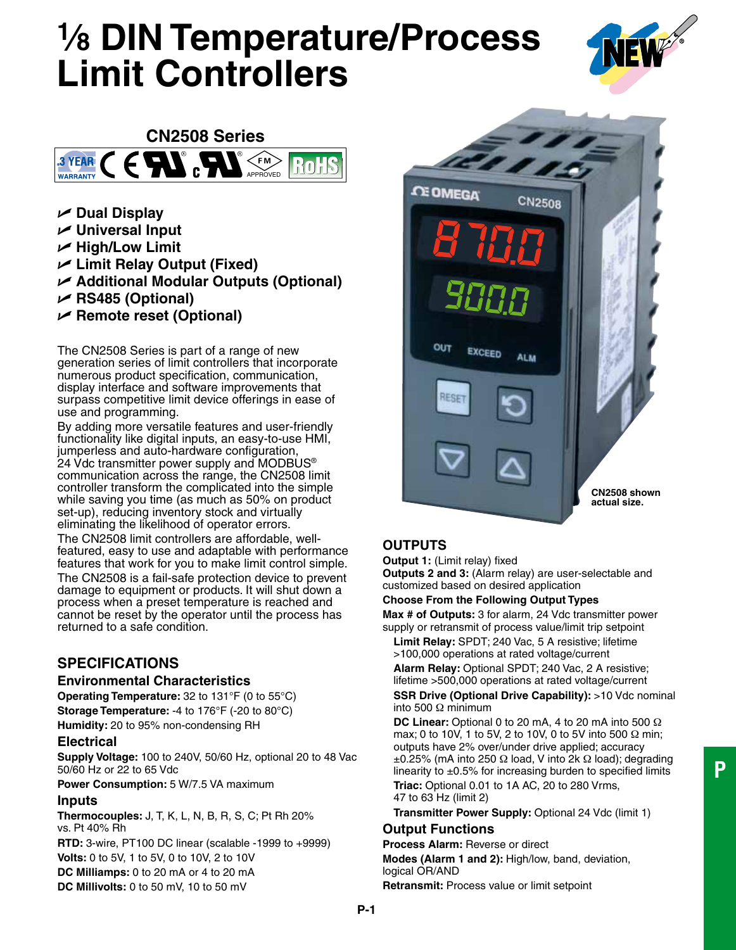# **1⁄8 DIN Temperature/Process Limit Controllers**





- U **Dual Display**
- U **Universal Input**
- U **High/Low Limit**
- U **Limit Relay Output (Fixed)**
- U **Additional Modular Outputs (Optional)**
- U **RS485 (Optional)**
- U **Remote reset (Optional)**

The CN2508 Series is part of a range of new generation series of limit controllers that incorporate numerous product specification, communication, display interface and software improvements that surpass competitive limit device offerings in ease of use and programming.

By adding more versatile features and user-friendly functionality like digital inputs, an easy-to-use HMI, jumperless and auto-hardware configuration, 24 Vdc transmitter power supply and MODBUS® communication across the range, the CN2508 limit controller transform the complicated into the simple while saving you time (as much as 50% on product set-up), reducing inventory stock and virtually eliminating the likelihood of operator errors.

The CN2508 limit controllers are affordable, wellfeatured, easy to use and adaptable with performance features that work for you to make limit control simple. The CN2508 is a fail-safe protection device to prevent damage to equipment or products. It will shut down a process when a preset temperature is reached and cannot be reset by the operator until the process has returned to a safe condition.

# **SPECIFICATIONS**

# **Environmental Characteristics**

**Operating Temperature:** 32 to 131°F (0 to 55°C) **Storage Temperature:** -4 to 176°F (-20 to 80°C) **Humidity:** 20 to 95% non-condensing RH

# **Electrical**

**Supply Voltage:** 100 to 240V, 50/60 Hz, optional 20 to 48 Vac 50/60 Hz or 22 to 65 Vdc

**Power Consumption:** 5 W/7.5 VA maximum

# **Inputs**

**Thermocouples:** J, T, K, L, N, B, R, S, C; Pt Rh 20% vs. Pt 40% Rh

**RTD:** 3-wire, PT100 DC linear (scalable -1999 to +9999) **Volts:** 0 to 5V, 1 to 5V, 0 to 10V, 2 to 10V **DC Milliamps:** 0 to 20 mA or 4 to 20 mA **DC Millivolts:** 0 to 50 mV, 10 to 50 mV



# **OUTPUTS**

**Output 1:** (Limit relay) fixed

**Outputs 2 and 3:** (Alarm relay) are user-selectable and customized based on desired application

#### **Choose From the Following Output Types**

**Max # of Outputs:** 3 for alarm, 24 Vdc transmitter power supply or retransmit of process value/limit trip setpoint

 **Limit Relay:** SPDT; 240 Vac, 5 A resistive; lifetime >100,000 operations at rated voltage/current

 **Alarm Relay:** Optional SPDT; 240 Vac, 2 A resistive; lifetime >500,000 operations at rated voltage/current **SSR Drive (Optional Drive Capability): >10 Vdc nominal** into 500 Ω minimum

 **DC Linear:** Optional 0 to 20 mA, 4 to 20 mA into 500 Ω max; 0 to 10V, 1 to 5V, 2 to 10V, 0 to 5V into 500 Ω min; outputs have 2% over/under drive applied; accuracy  $±0.25%$  (mA into 250  $\Omega$  load, V into 2k  $\Omega$  load); degrading linearity to  $\pm 0.5\%$  for increasing burden to specified limits  **Triac:** Optional 0.01 to 1A AC, 20 to 280 Vrms, 47 to 63 Hz (limit 2)

 **Transmitter Power Supply:** Optional 24 Vdc (limit 1)

# **Output Functions**

**Process Alarm:** Reverse or direct

**Modes (Alarm 1 and 2):** High/low, band, deviation, logical OR/AND

**Retransmit:** Process value or limit setpoint